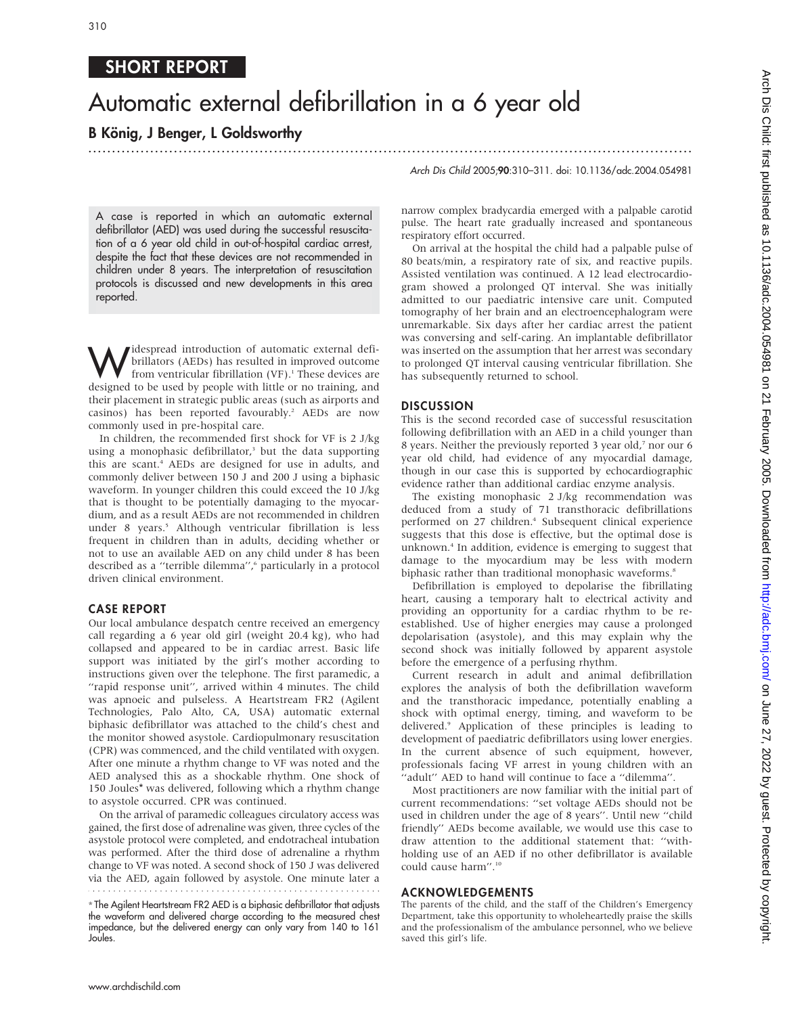## SHORT REPORT

# Automatic external defibrillation in a 6 year old

...............................................................................................................................

### B König, J Benger, L Goldsworthy

A case is reported in which an automatic external defibrillator (AED) was used during the successful resuscitation of a 6 year old child in out-of-hospital cardiac arrest, despite the fact that these devices are not recommended in children under 8 years. The interpretation of resuscitation protocols is discussed and new developments in this area reported.

*M* despread introduction of automatic external defi-<br>from ventricular fibrillation (VF).<sup>1</sup> These devices are<br>decimed to be used by people with little or no training and brillators (AEDs) has resulted in improved outcome designed to be used by people with little or no training, and their placement in strategic public areas (such as airports and casinos) has been reported favourably.<sup>2</sup> AEDs are now commonly used in pre-hospital care.

In children, the recommended first shock for VF is 2 J/kg using a monophasic defibrillator,<sup>3</sup> but the data supporting this are scant.4 AEDs are designed for use in adults, and commonly deliver between 150 J and 200 J using a biphasic waveform. In younger children this could exceed the 10 J/kg that is thought to be potentially damaging to the myocardium, and as a result AEDs are not recommended in children under 8 years.<sup>5</sup> Although ventricular fibrillation is less frequent in children than in adults, deciding whether or not to use an available AED on any child under 8 has been described as a "terrible dilemma",<sup>6</sup> particularly in a protocol driven clinical environment.

#### CASE REPORT

Our local ambulance despatch centre received an emergency call regarding a 6 year old girl (weight 20.4 kg), who had collapsed and appeared to be in cardiac arrest. Basic life support was initiated by the girl's mother according to instructions given over the telephone. The first paramedic, a ''rapid response unit'', arrived within 4 minutes. The child was apnoeic and pulseless. A Heartstream FR2 (Agilent Technologies, Palo Alto, CA, USA) automatic external biphasic defibrillator was attached to the child's chest and the monitor showed asystole. Cardiopulmonary resuscitation (CPR) was commenced, and the child ventilated with oxygen. After one minute a rhythm change to VF was noted and the AED analysed this as a shockable rhythm. One shock of 150 Joules\* was delivered, following which a rhythm change to asystole occurred. CPR was continued.

On the arrival of paramedic colleagues circulatory access was gained, the first dose of adrenaline was given, three cycles of the asystole protocol were completed, and endotracheal intubation was performed. After the third dose of adrenaline a rhythm change to VF was noted. A second shock of 150 J was delivered via the AED, again followed by asystole. One minute later a

\* The Agilent Heartstream FR2 AED is a biphasic defibrillator that adjusts the waveform and delivered charge according to the measured chest impedance, but the delivered energy can only vary from 140 to 161 Joules.

Arch Dis Child 2005;90:310–311. doi: 10.1136/adc.2004.054981

narrow complex bradycardia emerged with a palpable carotid pulse. The heart rate gradually increased and spontaneous respiratory effort occurred.

On arrival at the hospital the child had a palpable pulse of 80 beats/min, a respiratory rate of six, and reactive pupils. Assisted ventilation was continued. A 12 lead electrocardiogram showed a prolonged QT interval. She was initially admitted to our paediatric intensive care unit. Computed tomography of her brain and an electroencephalogram were unremarkable. Six days after her cardiac arrest the patient was conversing and self-caring. An implantable defibrillator was inserted on the assumption that her arrest was secondary to prolonged QT interval causing ventricular fibrillation. She has subsequently returned to school.

#### **DISCUSSION**

This is the second recorded case of successful resuscitation following defibrillation with an AED in a child younger than 8 years. Neither the previously reported 3 year old,7 nor our 6 year old child, had evidence of any myocardial damage, though in our case this is supported by echocardiographic evidence rather than additional cardiac enzyme analysis.

The existing monophasic 2 J/kg recommendation was deduced from a study of 71 transthoracic defibrillations performed on 27 children.<sup>4</sup> Subsequent clinical experience suggests that this dose is effective, but the optimal dose is unknown.4 In addition, evidence is emerging to suggest that damage to the myocardium may be less with modern biphasic rather than traditional monophasic waveforms.<sup>8</sup>

Defibrillation is employed to depolarise the fibrillating heart, causing a temporary halt to electrical activity and providing an opportunity for a cardiac rhythm to be reestablished. Use of higher energies may cause a prolonged depolarisation (asystole), and this may explain why the second shock was initially followed by apparent asystole before the emergence of a perfusing rhythm.

Current research in adult and animal defibrillation explores the analysis of both the defibrillation waveform and the transthoracic impedance, potentially enabling a shock with optimal energy, timing, and waveform to be delivered.9 Application of these principles is leading to development of paediatric defibrillators using lower energies. In the current absence of such equipment, however, professionals facing VF arrest in young children with an ''adult'' AED to hand will continue to face a ''dilemma''.

Most practitioners are now familiar with the initial part of current recommendations: ''set voltage AEDs should not be used in children under the age of 8 years''. Until new ''child friendly'' AEDs become available, we would use this case to draw attention to the additional statement that: ''withholding use of an AED if no other defibrillator is available could cause harm''.10

#### ACKNOWLEDGEMENTS

The parents of the child, and the staff of the Children's Emergency Department, take this opportunity to wholeheartedly praise the skills and the professionalism of the ambulance personnel, who we believe saved this girl's life.